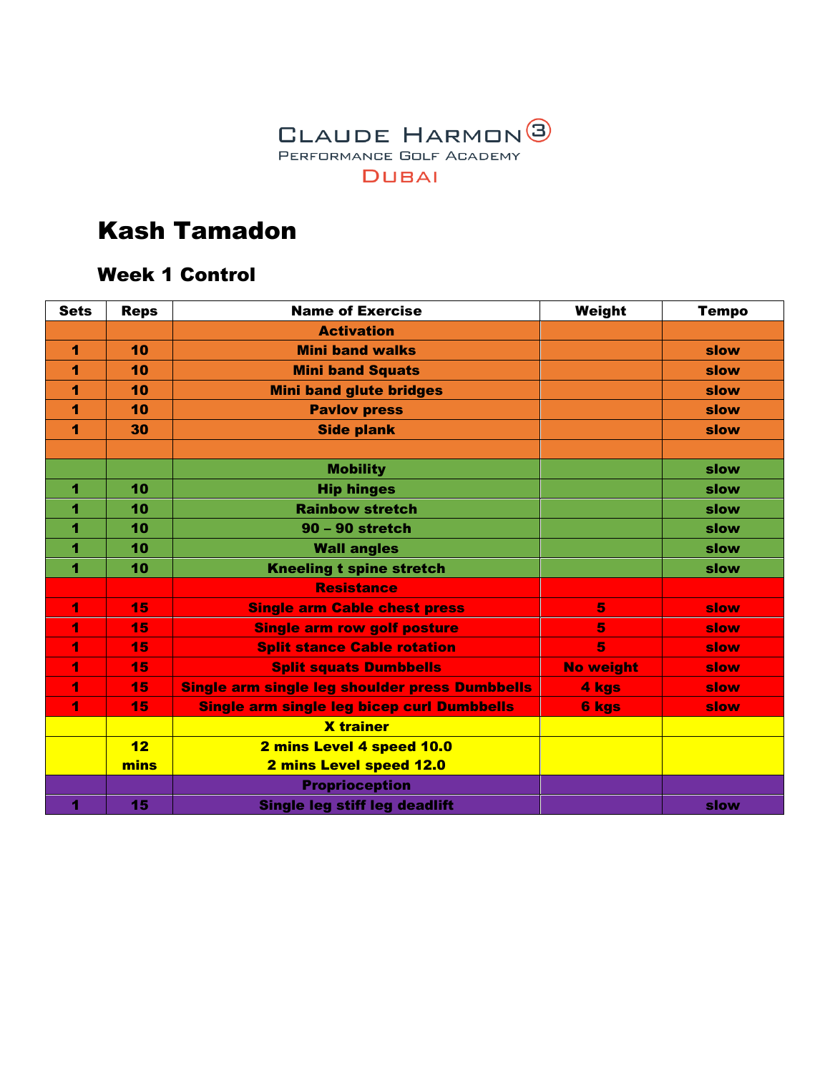

#### Week 1 Control

| <b>Sets</b> | <b>Reps</b> | <b>Name of Exercise</b>                        | Weight           | <b>Tempo</b> |
|-------------|-------------|------------------------------------------------|------------------|--------------|
|             |             | <b>Activation</b>                              |                  |              |
| 1           | 10          | <b>Mini band walks</b>                         |                  | slow         |
| 1           | 10          | <b>Mini band Squats</b>                        |                  | slow         |
| 1           | 10          | <b>Mini band glute bridges</b>                 |                  | slow         |
| 1           | 10          | <b>Pavlov press</b>                            |                  | slow         |
| 1           | 30          | <b>Side plank</b>                              |                  | slow         |
|             |             |                                                |                  |              |
|             |             | <b>Mobility</b>                                |                  | slow         |
| 1           | 10          | <b>Hip hinges</b>                              |                  | slow         |
| 4           | 10          | <b>Rainbow stretch</b>                         |                  | slow         |
| 1           | 10          | $90 - 90$ stretch                              |                  | slow         |
| 4           | 10          | <b>Wall angles</b>                             |                  | slow         |
| 1           | 10          | <b>Kneeling t spine stretch</b>                |                  | slow         |
|             |             | <b>Resistance</b>                              |                  |              |
| 1           | 15          | <b>Single arm Cable chest press</b>            | 5                | slow         |
| 4           | 15          | <b>Single arm row golf posture</b>             | 5                | slow         |
| 1           | 15          | <b>Split stance Cable rotation</b>             | 5                | slow         |
| 1           | 15          | <b>Split squats Dumbbells</b>                  | <b>No weight</b> | slow         |
| 4           | 15          | Single arm single leg shoulder press Dumbbells | 4 kgs            | slow         |
| 4           | 15          | Single arm single leg bicep curl Dumbbells     | <b>6 kgs</b>     | slow         |
|             |             | <b>X</b> trainer                               |                  |              |
|             | 12          | 2 mins Level 4 speed 10.0                      |                  |              |
|             | mins        | 2 mins Level speed 12.0                        |                  |              |
|             |             | <b>Proprioception</b>                          |                  |              |
| 4           | 15          | Single leg stiff leg deadlift                  |                  | slow         |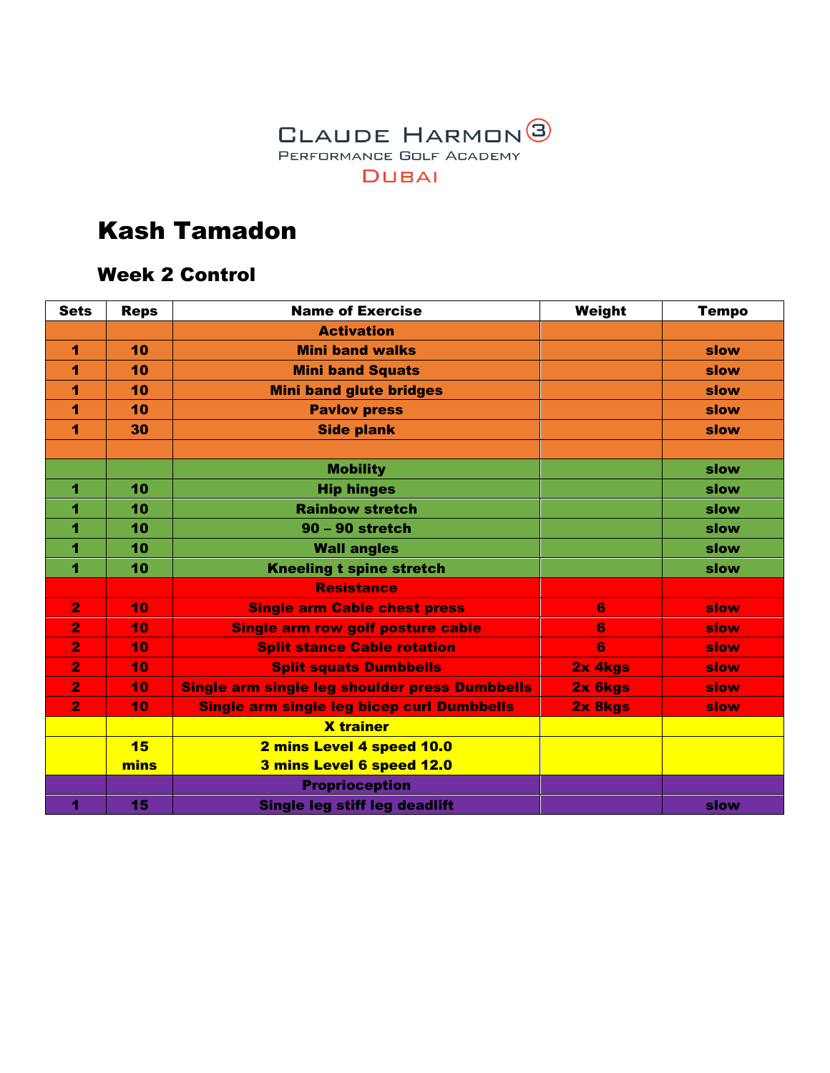

#### Week 2 Control

| <b>Sets</b>    | <b>Reps</b> | <b>Name of Exercise</b>                        | Weight  | <b>Tempo</b> |
|----------------|-------------|------------------------------------------------|---------|--------------|
|                |             | <b>Activation</b>                              |         |              |
| 1              | 10          | <b>Mini band walks</b>                         |         | slow         |
| 1              | 10          | <b>Mini band Squats</b>                        |         | slow         |
| 1              | 10          | <b>Mini band glute bridges</b>                 |         | slow         |
| 1              | 10          | <b>Pavlov press</b>                            |         | slow         |
| 1              | 30          | <b>Side plank</b>                              |         | slow         |
|                |             |                                                |         |              |
|                |             | <b>Mobility</b>                                |         | slow         |
| 1              | 10          | <b>Hip hinges</b>                              |         | slow         |
| 1              | 10          | <b>Rainbow stretch</b>                         |         | slow         |
| 1              | 10          | 90 - 90 stretch                                |         | slow         |
| 1              | 10          | <b>Wall angles</b>                             |         | slow         |
| 1              | 10          | <b>Kneeling t spine stretch</b>                |         | slow         |
|                |             | <b>Resistance</b>                              |         |              |
| $\overline{2}$ | 10          | <b>Single arm Cable chest press</b>            | 6       | slow         |
| $\overline{2}$ | 10          | <b>Single arm row golf posture cable</b>       | 6       | slow         |
| $\overline{2}$ | 10          | <b>Split stance Cable rotation</b>             | 6       | slow         |
| $\overline{2}$ | 10          | <b>Split squats Dumbbells</b>                  | 2x 4kgs | slow         |
| $\overline{2}$ | 10          | Single arm single leg shoulder press Dumbbells | 2x 6kgs | slow         |
| $\overline{2}$ | 10          | Single arm single leg bicep curl Dumbbells     | 2x 8kgs | slow         |
|                |             | <b>X</b> trainer                               |         |              |
|                | 15          | 2 mins Level 4 speed 10.0                      |         |              |
|                | mins        | 3 mins Level 6 speed 12.0                      |         |              |
|                |             | <b>Proprioception</b>                          |         |              |
| 4              | 15          | Single leg stiff leg deadlift                  |         | slow         |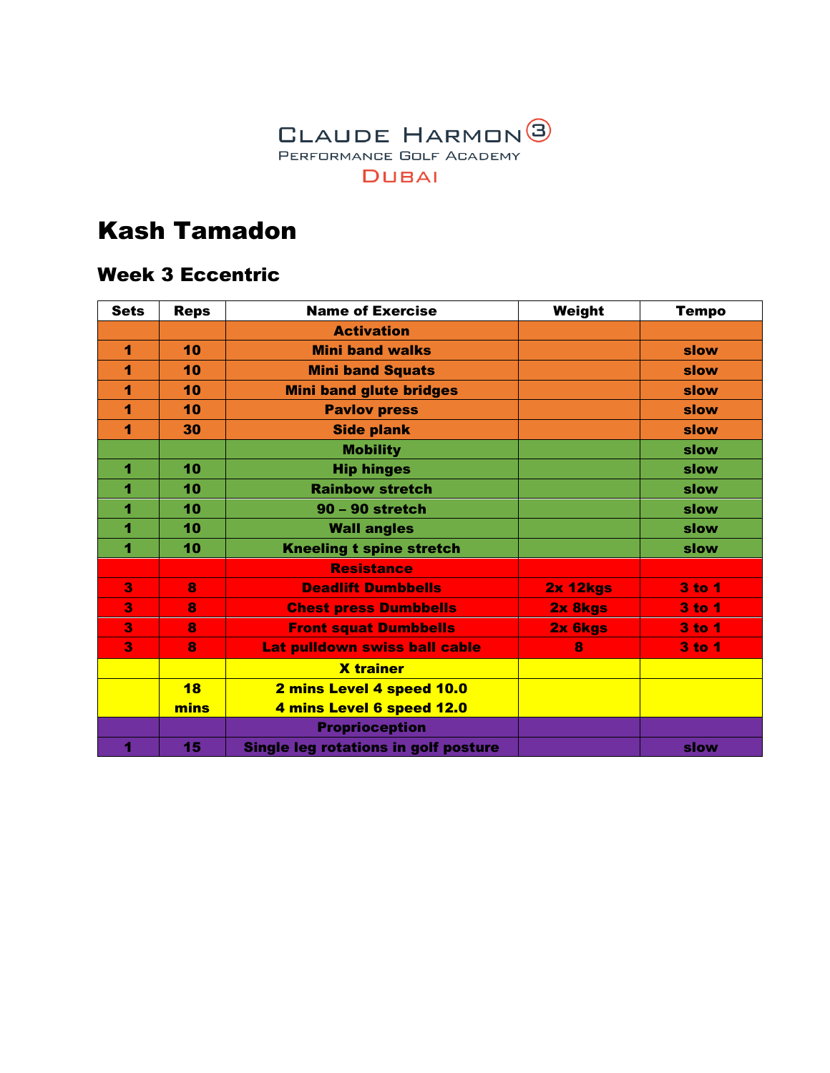

#### Week 3 Eccentric

| <b>Sets</b> | <b>Reps</b> | <b>Name of Exercise</b>                     | Weight          | <b>Tempo</b>  |
|-------------|-------------|---------------------------------------------|-----------------|---------------|
|             |             | <b>Activation</b>                           |                 |               |
| 1           | 10          | <b>Mini band walks</b>                      |                 | slow          |
| 1           | 10          | <b>Mini band Squats</b>                     |                 | slow          |
| 1           | 10          | <b>Mini band glute bridges</b>              |                 | slow          |
| 1           | 10          | <b>Pavlov press</b>                         |                 | slow          |
| 1           | 30          | <b>Side plank</b>                           |                 | slow          |
|             |             | <b>Mobility</b>                             |                 | slow          |
| 1           | 10          | <b>Hip hinges</b>                           |                 | slow          |
| 1           | 10          | <b>Rainbow stretch</b>                      |                 | slow          |
| 1           | 10          | $90 - 90$ stretch                           |                 | slow          |
| 1           | 10          | <b>Wall angles</b>                          |                 | slow          |
| 4           | 10          | <b>Kneeling t spine stretch</b>             |                 | slow          |
|             |             | <b>Resistance</b>                           |                 |               |
| 3           | 8           | <b>Deadlift Dumbbells</b>                   | <b>2x 12kgs</b> | 3 to 1        |
| 3           | 8           | <b>Chest press Dumbbells</b>                | 2x 8kgs         | <b>3 to 1</b> |
| 3           | 8           | <b>Front squat Dumbbells</b>                | 2x 6kgs         | 3 to 1        |
| 3           | 8           | Lat pulldown swiss ball cable               | 8               | $3$ to $1$    |
|             |             | <b>X</b> trainer                            |                 |               |
|             | 18          | 2 mins Level 4 speed 10.0                   |                 |               |
|             | mins        | 4 mins Level 6 speed 12.0                   |                 |               |
|             |             | <b>Proprioception</b>                       |                 |               |
| 4           | 15          | <b>Single leg rotations in golf posture</b> |                 | slow          |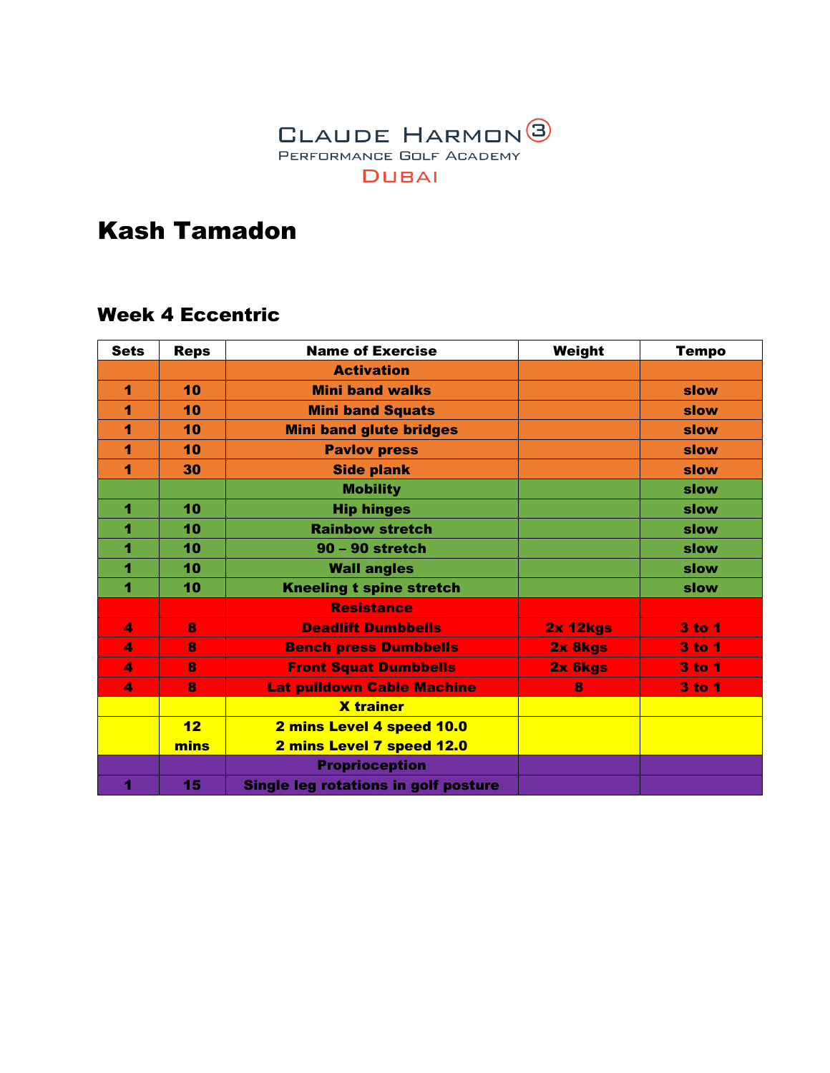

#### Week 4 Eccentric

| <b>Sets</b>          | <b>Reps</b> | <b>Name of Exercise</b>                     | Weight          | <b>Tempo</b>  |
|----------------------|-------------|---------------------------------------------|-----------------|---------------|
|                      |             | <b>Activation</b>                           |                 |               |
| 1                    | 10          | <b>Mini band walks</b>                      |                 | slow          |
| 1                    | 10          | <b>Mini band Squats</b>                     |                 | slow          |
| 1                    | 10          | <b>Mini band glute bridges</b>              |                 | slow          |
| 1                    | 10          | <b>Pavlov press</b>                         |                 | slow          |
| 1                    | 30          | <b>Side plank</b>                           |                 | slow          |
|                      |             | <b>Mobility</b>                             |                 | slow          |
| 1                    | 10          | <b>Hip hinges</b>                           |                 | slow          |
| 1                    | 10          | <b>Rainbow stretch</b>                      |                 | slow          |
| 1                    | 10          | $90 - 90$ stretch                           |                 | slow          |
| 1                    | 10          | <b>Wall angles</b>                          |                 | slow          |
| 4                    | 10          | <b>Kneeling t spine stretch</b>             |                 | slow          |
|                      |             | <b>Resistance</b>                           |                 |               |
| $\blacktriangleleft$ | 8           | <b>Deadlift Dumbbells</b>                   | <b>2x 12kgs</b> | 3 to 1        |
| 4                    | 8           | <b>Bench press Dumbbells</b>                | 2x 8kgs         | <b>3 to 1</b> |
| $\blacktriangleleft$ | 8           | <b>Front Squat Dumbbells</b>                | 2x 6kgs         | <b>3 to 1</b> |
| $\blacktriangleleft$ | 8           | <b>Lat pulldown Cable Machine</b>           | 8               | <b>3 to 1</b> |
|                      |             | <b>X</b> trainer                            |                 |               |
|                      | 12          | 2 mins Level 4 speed 10.0                   |                 |               |
|                      | mins        | 2 mins Level 7 speed 12.0                   |                 |               |
|                      |             | <b>Proprioception</b>                       |                 |               |
| 1                    | 15          | <b>Single leg rotations in golf posture</b> |                 |               |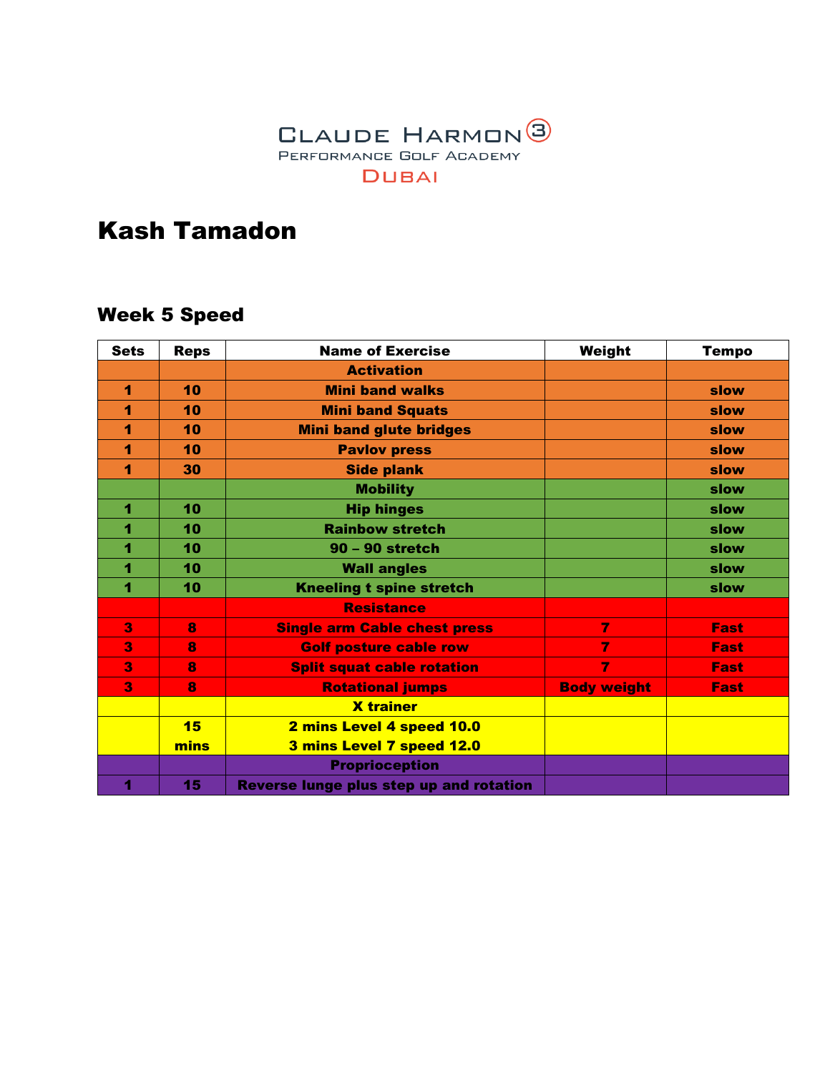

### Week 5 Speed

| <b>Sets</b> | <b>Reps</b> | <b>Name of Exercise</b>                 | Weight             | <b>Tempo</b> |
|-------------|-------------|-----------------------------------------|--------------------|--------------|
|             |             | <b>Activation</b>                       |                    |              |
| 1           | 10          | <b>Mini band walks</b>                  |                    | slow         |
| 1           | 10          | <b>Mini band Squats</b>                 |                    | slow         |
| 1           | 10          | <b>Mini band glute bridges</b>          |                    | slow         |
| 1           | 10          | <b>Pavlov press</b>                     |                    | slow         |
| 1           | 30          | <b>Side plank</b>                       |                    | slow         |
|             |             | <b>Mobility</b>                         |                    | slow         |
| 1           | 10          | <b>Hip hinges</b>                       |                    | slow         |
| 1           | 10          | <b>Rainbow stretch</b>                  |                    | slow         |
| 1           | 10          | 90 - 90 stretch                         |                    | slow         |
| 1           | 10          | <b>Wall angles</b>                      |                    | slow         |
| 4           | 10          | <b>Kneeling t spine stretch</b>         |                    | slow         |
|             |             | <b>Resistance</b>                       |                    |              |
| 3           | 8           | <b>Single arm Cable chest press</b>     | $\overline{7}$     | <b>Fast</b>  |
| 3           | 8           | <b>Golf posture cable row</b>           | $\overline{7}$     | Fast         |
| 3           | 8           | <b>Split squat cable rotation</b>       | 7                  | Fast         |
| 3           | 8           | <b>Rotational jumps</b>                 | <b>Body weight</b> | <b>Fast</b>  |
|             |             | <b>X</b> trainer                        |                    |              |
|             | 15          | 2 mins Level 4 speed 10.0               |                    |              |
|             | mins        | 3 mins Level 7 speed 12.0               |                    |              |
|             |             | <b>Proprioception</b>                   |                    |              |
| 1           | 15          | Reverse lunge plus step up and rotation |                    |              |